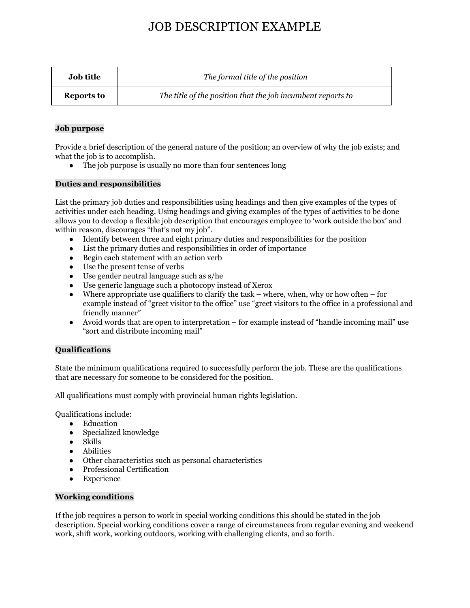# JOB DESCRIPTION EXAMPLE

| <b>Job title</b> | The formal title of the position                            |
|------------------|-------------------------------------------------------------|
| Reports to       | The title of the position that the job incumbent reports to |

#### **Job purpose**

Provide a brief description of the general nature of the position; an overview of why the job exists; and what the job is to accomplish.

• The job purpose is usually no more than four sentences long

#### **Duties and responsibilities**

List the primary job duties and responsibilities using headings and then give examples of the types of activities under each heading. Using headings and giving examples of the types of activities to be done allows you to develop a flexible job description that encourages employee to 'work outside the box' and within reason, discourages "that's not my job".

- Identify between three and eight primary duties and responsibilities for the position
- List the primary duties and responsibilities in order of importance
- Begin each statement with an action verb
- Use the present tense of verbs
- Use gender neutral language such as s/he
- Use generic language such a photocopy instead of Xerox
- $\bullet$  Where appropriate use qualifiers to clarify the task where, when, why or how often for example instead of "greet visitor to the office" use "greet visitors to the office in a professional and friendly manner"
- Avoid words that are open to interpretation for example instead of "handle incoming mail" use "sort and distribute incoming mail"

## **Qualifications**

State the minimum qualifications required to successfully perform the job. These are the qualifications that are necessary for someone to be considered for the position.

All qualifications must comply with provincial human rights legislation.

Qualifications include:

- Education
- Specialized knowledge
- Skills
- Abilities
- Other characteristics such as personal characteristics
- Professional Certification
- Experience

#### **Working conditions**

If the job requires a person to work in special working conditions this should be stated in the job description. Special working conditions cover a range of circumstances from regular evening and weekend work, shift work, working outdoors, working with challenging clients, and so forth.